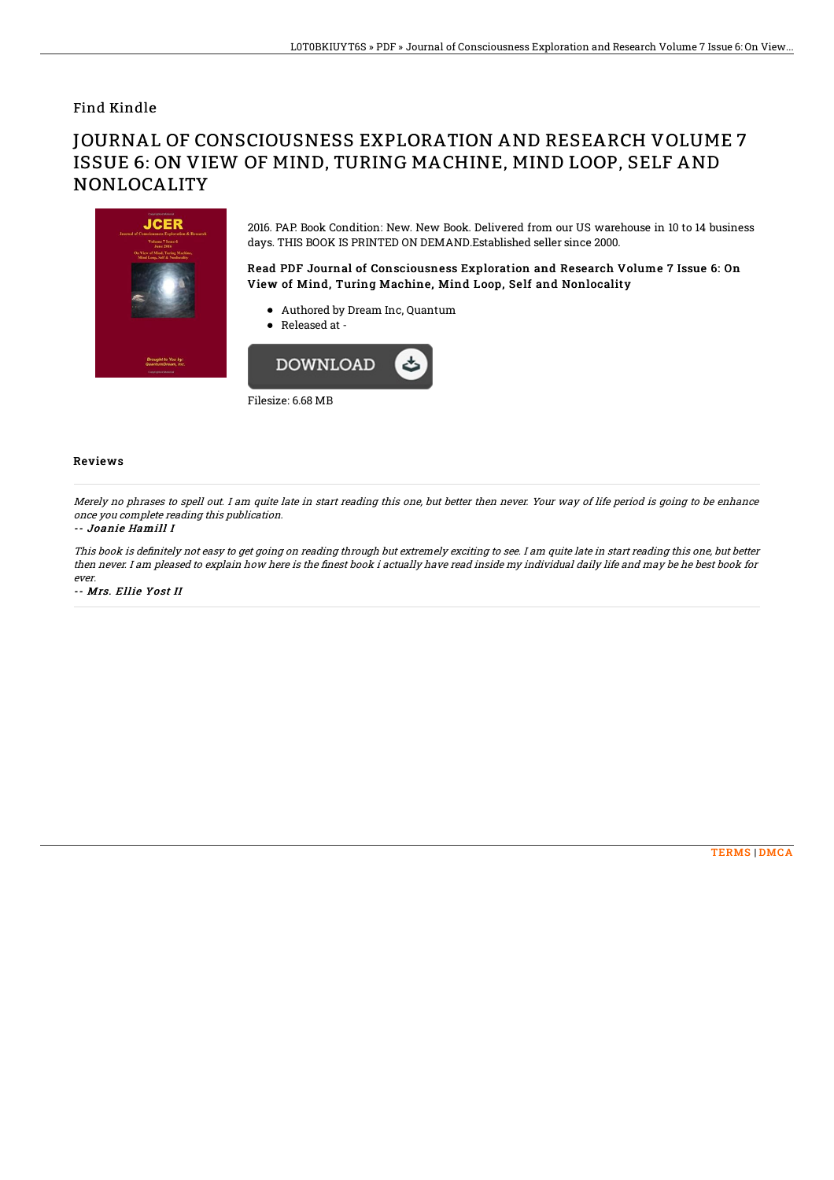### Find Kindle

# JOURNAL OF CONSCIOUSNESS EXPLORATION AND RESEARCH VOLUME 7 ISSUE 6: ON VIEW OF MIND, TURING MACHINE, MIND LOOP, SELF AND NONLOCALITY



2016. PAP. Book Condition: New. New Book. Delivered from our US warehouse in 10 to 14 business days. THIS BOOK IS PRINTED ON DEMAND.Established seller since 2000.

Read PDF Journal of Consciousness Exploration and Research Volume 7 Issue 6: On View of Mind, Turing Machine, Mind Loop, Self and Nonlocality

- Authored by Dream Inc, Quantum
- Released at -



#### Reviews

Merely no phrases to spell out. I am quite late in start reading this one, but better then never. Your way of life period is going to be enhance once you complete reading this publication.

#### -- Joanie Hamill I

This book is definitely not easy to get going on reading through but extremely exciting to see. I am quite late in start reading this one, but better then never. I am pleased to explain how here is the finest book i actually have read inside my individual daily life and may be he best book for ever.

-- Mrs. Ellie Yost II